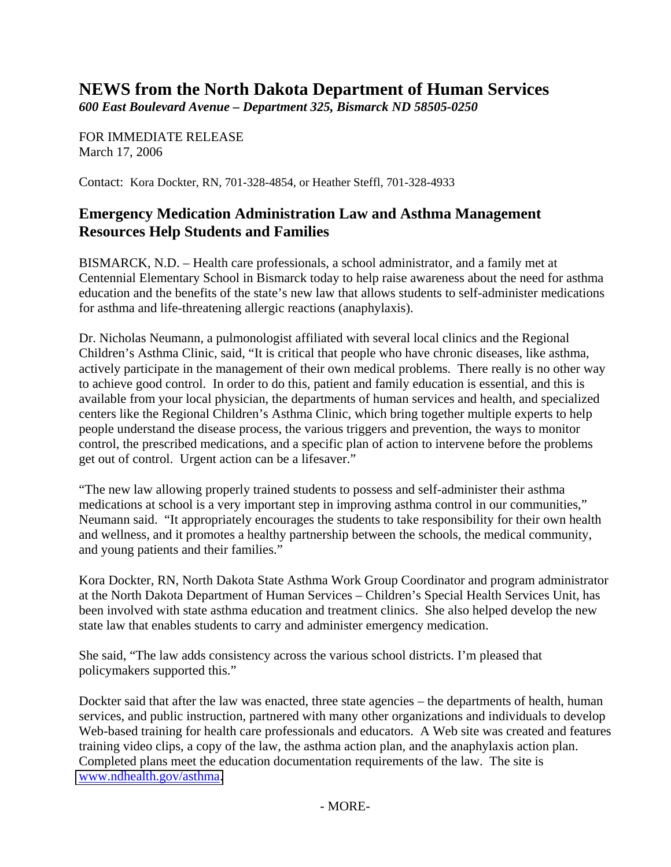## **NEWS from the North Dakota Department of Human Services**

*600 East Boulevard Avenue – Department 325, Bismarck ND 58505-0250* 

FOR IMMEDIATE RELEASE March 17, 2006

Contact: Kora Dockter, RN, 701-328-4854, or Heather Steffl, 701-328-4933

## **Emergency Medication Administration Law and Asthma Management Resources Help Students and Families**

BISMARCK, N.D. – Health care professionals, a school administrator, and a family met at Centennial Elementary School in Bismarck today to help raise awareness about the need for asthma education and the benefits of the state's new law that allows students to self-administer medications for asthma and life-threatening allergic reactions (anaphylaxis).

Dr. Nicholas Neumann, a pulmonologist affiliated with several local clinics and the Regional Children's Asthma Clinic, said, "It is critical that people who have chronic diseases, like asthma, actively participate in the management of their own medical problems. There really is no other way to achieve good control. In order to do this, patient and family education is essential, and this is available from your local physician, the departments of human services and health, and specialized centers like the Regional Children's Asthma Clinic, which bring together multiple experts to help people understand the disease process, the various triggers and prevention, the ways to monitor control, the prescribed medications, and a specific plan of action to intervene before the problems get out of control. Urgent action can be a lifesaver."

"The new law allowing properly trained students to possess and self-administer their asthma medications at school is a very important step in improving asthma control in our communities," Neumann said. "It appropriately encourages the students to take responsibility for their own health and wellness, and it promotes a healthy partnership between the schools, the medical community, and young patients and their families."

Kora Dockter, RN, North Dakota State Asthma Work Group Coordinator and program administrator at the North Dakota Department of Human Services – Children's Special Health Services Unit, has been involved with state asthma education and treatment clinics. She also helped develop the new state law that enables students to carry and administer emergency medication.

She said, "The law adds consistency across the various school districts. I'm pleased that policymakers supported this."

Dockter said that after the law was enacted, three state agencies – the departments of health, human services, and public instruction, partnered with many other organizations and individuals to develop Web-based training for health care professionals and educators. A Web site was created and features training video clips, a copy of the law, the asthma action plan, and the anaphylaxis action plan. Completed plans meet the education documentation requirements of the law. The site is [www.ndhealth.gov/asthma.](http://www.ndhealth.gov/asthma/)